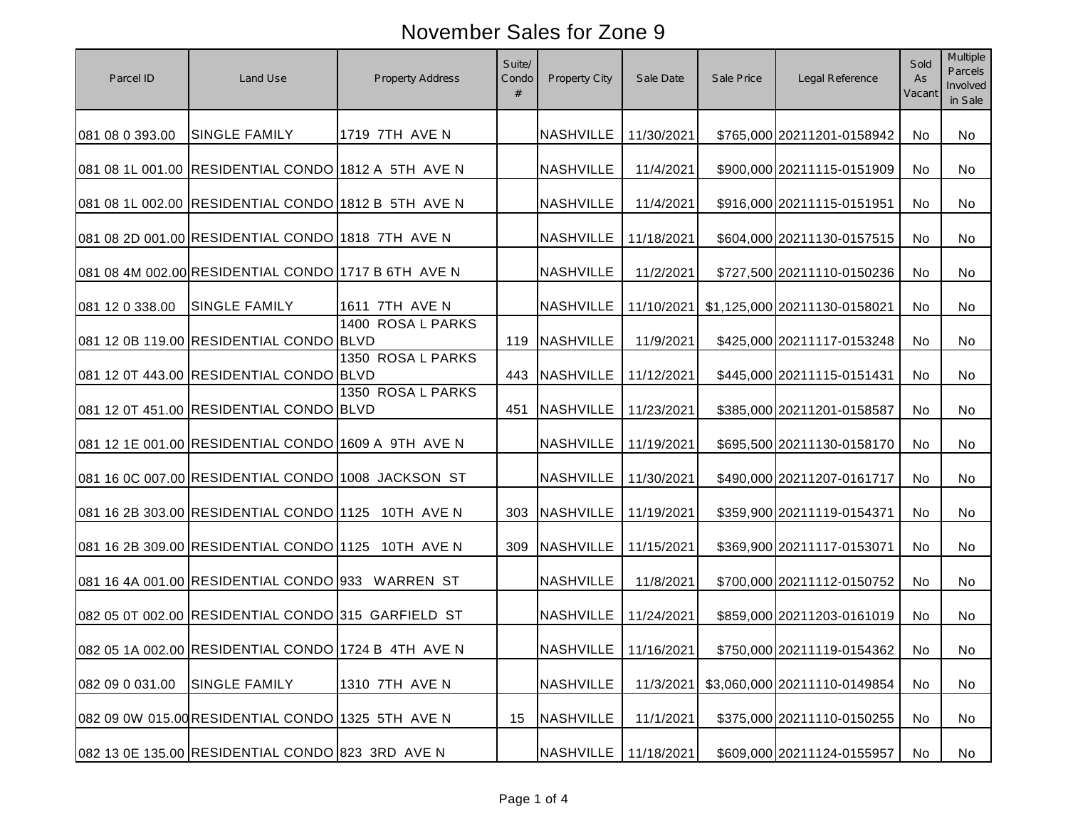| Parcel ID       | Land Use                                            | <b>Property Address</b> | Suite/<br>Condo<br># | Property City          | Sale Date  | Sale Price | Legal Reference              | Sold<br>As<br>Vacant | <b>Multiple</b><br><b>Parcels</b><br>Involved<br>in Sale |
|-----------------|-----------------------------------------------------|-------------------------|----------------------|------------------------|------------|------------|------------------------------|----------------------|----------------------------------------------------------|
| 081 08 0 393.00 | <b>SINGLE FAMILY</b>                                | 1719 7TH AVE N          |                      | <b>NASHVILLE</b>       | 11/30/2021 |            | \$765,000 20211201-0158942   | No                   | No                                                       |
|                 | 081 08 1L 001.00 RESIDENTIAL CONDO 1812 A 5TH AVE N |                         |                      | <b>NASHVILLE</b>       | 11/4/2021  |            | \$900,000 20211115-0151909   | No                   | No                                                       |
|                 | 081 08 1L 002.00 RESIDENTIAL CONDO 1812 B 5TH AVE N |                         |                      | <b>NASHVILLE</b>       | 11/4/2021  |            | \$916,000 20211115-0151951   | No                   | No                                                       |
|                 | 081 08 2D 001.00 RESIDENTIAL CONDO 1818 7TH AVE N   |                         |                      | <b>NASHVILLE</b>       | 11/18/2021 |            | \$604,000 20211130-0157515   | No                   | No                                                       |
|                 | 081 08 4M 002.00 RESIDENTIAL CONDO 1717 B 6TH AVE N |                         |                      | <b>NASHVILLE</b>       | 11/2/2021  |            | \$727,500 20211110-0150236   | <b>No</b>            | No                                                       |
| 081 12 0 338.00 | <b>SINGLE FAMILY</b>                                | 1611 7TH AVE N          |                      | <b>NASHVILLE</b>       | 11/10/2021 |            | \$1,125,000 20211130-0158021 | No.                  | No                                                       |
|                 | 081 12 0B 119.00 RESIDENTIAL CONDO BLVD             | 1400 ROSA L PARKS       | 119                  | <b>NASHVILLE</b>       | 11/9/2021  |            | \$425,000 20211117-0153248   | No                   | No.                                                      |
|                 | 081 12 0T 443.00 RESIDENTIAL CONDO BLVD             | 1350 ROSA L PARKS       | 443                  | <b>NASHVILLE</b>       | 11/12/2021 |            | \$445,000 20211115-0151431   | No                   | No                                                       |
|                 | 081 12 0T 451.00 RESIDENTIAL CONDO BLVD             | 1350 ROSA L PARKS       | 451                  | <b>NASHVILLE</b>       | 11/23/2021 |            | \$385,000 20211201-0158587   | No                   | No                                                       |
|                 | 081 12 1E 001.00 RESIDENTIAL CONDO 1609 A 9TH AVE N |                         |                      | <b>NASHVILLE</b>       | 11/19/2021 |            | \$695,500 20211130-0158170   | No                   | No                                                       |
|                 | 081 16 0C 007.00 RESIDENTIAL CONDO 1008 JACKSON ST  |                         |                      | <b>NASHVILLE</b>       | 11/30/2021 |            | \$490,000 20211207-0161717   | No                   | No                                                       |
|                 | 081 16 2B 303.00 RESIDENTIAL CONDO 1125 10TH AVE N  |                         | 303                  | <b>NASHVILLE</b>       | 11/19/2021 |            | \$359,900 20211119-0154371   | No                   | No                                                       |
|                 | 081 16 2B 309.00 RESIDENTIAL CONDO 1125 10TH AVE N  |                         | 309                  | <b>NASHVILLE</b>       | 11/15/2021 |            | \$369,900 20211117-0153071   | <b>No</b>            | No                                                       |
|                 | 081 16 4A 001.00 RESIDENTIAL CONDO 933 WARREN ST    |                         |                      | <b>NASHVILLE</b>       | 11/8/2021  |            | \$700,000 20211112-0150752   | No                   | No                                                       |
|                 | 082 05 0T 002.00 RESIDENTIAL CONDO 315 GARFIELD ST  |                         |                      | <b>NASHVILLE</b>       | 11/24/2021 |            | \$859,000 20211203-0161019   | No                   | No                                                       |
|                 | 082 05 1A 002.00 RESIDENTIAL CONDO 1724 B 4TH AVE N |                         |                      | NASHVILLE   11/16/2021 |            |            | \$750,000 20211119-0154362   | No                   | No                                                       |
| 082 09 0 031.00 | <b>SINGLE FAMILY</b>                                | 1310 7TH AVE N          |                      | <b>NASHVILLE</b>       | 11/3/2021  |            | \$3,060,000 20211110-0149854 | No                   | No                                                       |
|                 | 082 09 0W 015.00 RESIDENTIAL CONDO 1325 5TH AVE N   |                         | 15                   | <b>NASHVILLE</b>       | 11/1/2021  |            | \$375,000 20211110-0150255   | No                   | No                                                       |
|                 | 082 13 0E 135.00 RESIDENTIAL CONDO 823 3RD AVE N    |                         |                      | <b>NASHVILLE</b>       | 11/18/2021 |            | \$609,000 20211124-0155957   | No                   | No                                                       |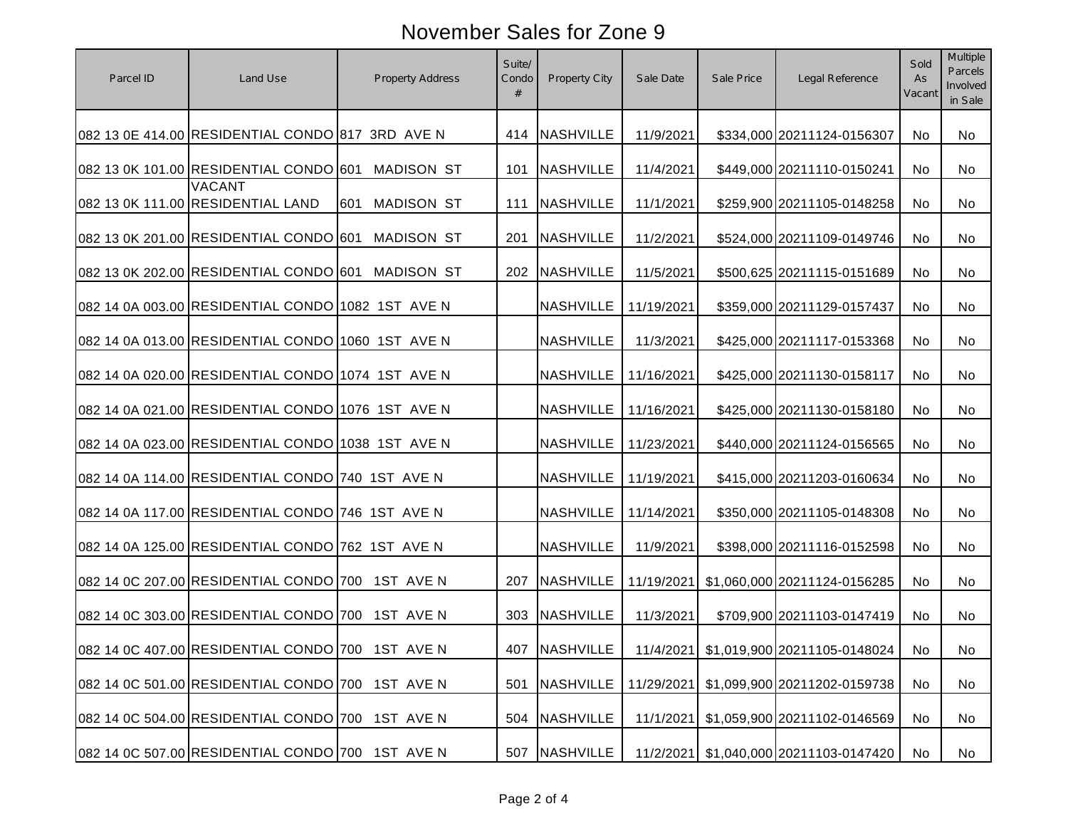| Parcel ID | Land Use                                           | <b>Property Address</b>  | Suite/<br>Condo | Property City    | Sale Date  | Sale Price | Legal Reference                        | Sold<br>As<br>Vacant | <b>Multiple</b><br>Parcels<br>Involved<br>in Sale |
|-----------|----------------------------------------------------|--------------------------|-----------------|------------------|------------|------------|----------------------------------------|----------------------|---------------------------------------------------|
|           | 082 13 0E 414.00 RESIDENTIAL CONDO 817 3RD AVE N   |                          |                 | 414 NASHVILLE    | 11/9/2021  |            | \$334,000 20211124-0156307             | No                   | No                                                |
|           | 082 13 0K 101.00 RESIDENTIAL CONDO 601             | MADISON ST               | 101             | <b>NASHVILLE</b> | 11/4/2021  |            | \$449,000 20211110-0150241             | <b>No</b>            | No                                                |
|           | <b>VACANT</b><br>082 13 0K 111.00 RESIDENTIAL LAND | <b>MADISON ST</b><br>601 | 111             | NASHVILLE        | 11/1/2021  |            | \$259,900 20211105-0148258             | <b>No</b>            | No                                                |
|           | 082 13 0K 201.00 RESIDENTIAL CONDO 601 MADISON ST  |                          |                 | 201 NASHVILLE    | 11/2/2021  |            | \$524,000 20211109-0149746             | No.                  | No                                                |
|           | 082 13 0K 202.00 RESIDENTIAL CONDO 601 MADISON ST  |                          |                 | 202 NASHVILLE    | 11/5/2021  |            | \$500,625 20211115-0151689             | No.                  | No                                                |
|           | 082 14 0A 003.00 RESIDENTIAL CONDO 1082 1ST AVE N  |                          |                 | <b>NASHVILLE</b> | 11/19/2021 |            | \$359,000 20211129-0157437             | No.                  | No                                                |
|           | 082 14 0A 013.00 RESIDENTIAL CONDO 1060 1ST AVE N  |                          |                 | <b>NASHVILLE</b> | 11/3/2021  |            | \$425,000 20211117-0153368             | <b>No</b>            | No.                                               |
|           | 082 14 0A 020.00 RESIDENTIAL CONDO 1074 1ST AVE N  |                          |                 | <b>NASHVILLE</b> | 11/16/2021 |            | \$425,000 20211130-0158117             | No                   | No.                                               |
|           | 082 14 0A 021.00 RESIDENTIAL CONDO 1076 1ST AVE N  |                          |                 | <b>NASHVILLE</b> | 11/16/2021 |            | \$425,000 20211130-0158180             | <b>No</b>            | No                                                |
|           | 082 14 0A 023.00 RESIDENTIAL CONDO 1038 1ST AVE N  |                          |                 | <b>NASHVILLE</b> | 11/23/2021 |            | \$440,000 20211124-0156565             | <b>No</b>            | No                                                |
|           | 082 14 0A 114.00 RESIDENTIAL CONDO 740 1ST AVE N   |                          |                 | <b>NASHVILLE</b> | 11/19/2021 |            | \$415,000 20211203-0160634             | <b>No</b>            | No                                                |
|           | 082 14 0A 117.00 RESIDENTIAL CONDO 746 1ST AVE N   |                          |                 | <b>NASHVILLE</b> | 11/14/2021 |            | \$350,000 20211105-0148308             | <b>No</b>            | No                                                |
|           | 082 14 0A 125.00 RESIDENTIAL CONDO 762 1ST AVE N   |                          |                 | <b>NASHVILLE</b> | 11/9/2021  |            | \$398,000 20211116-0152598             | No.                  | No.                                               |
|           | 082 14 0C 207.00 RESIDENTIAL CONDO 700 1ST AVE N   |                          | 207             | <b>NASHVILLE</b> | 11/19/2021 |            | \$1,060,000 20211124-0156285           | No                   | No                                                |
|           | 082 14 0C 303.00 RESIDENTIAL CONDO 700 1ST AVE N   |                          | 303             | <b>NASHVILLE</b> | 11/3/2021  |            | \$709,900 20211103-0147419             | No                   | No                                                |
|           | 082 14 0C 407.00 RESIDENTIAL CONDO 700 1ST AVE N   |                          |                 | 407 NASHVILLE    |            |            | 11/4/2021 \$1,019,900 20211105-0148024 | No                   | No                                                |
|           | 082 14 0C 501.00 RESIDENTIAL CONDO 700 1ST AVE N   |                          | 501             | <b>NASHVILLE</b> | 11/29/2021 |            | \$1,099,900 20211202-0159738           | No                   | No                                                |
|           | 082 14 0C 504.00 RESIDENTIAL CONDO 700 1ST AVE N   |                          | 504             | <b>NASHVILLE</b> | 11/1/2021  |            | \$1,059,900 20211102-0146569           | No                   | No                                                |
|           | 082 14 0C 507.00 RESIDENTIAL CONDO 700 1ST AVE N   |                          | 507             | <b>NASHVILLE</b> |            |            | 11/2/2021 \$1,040,000 20211103-0147420 | No                   | No                                                |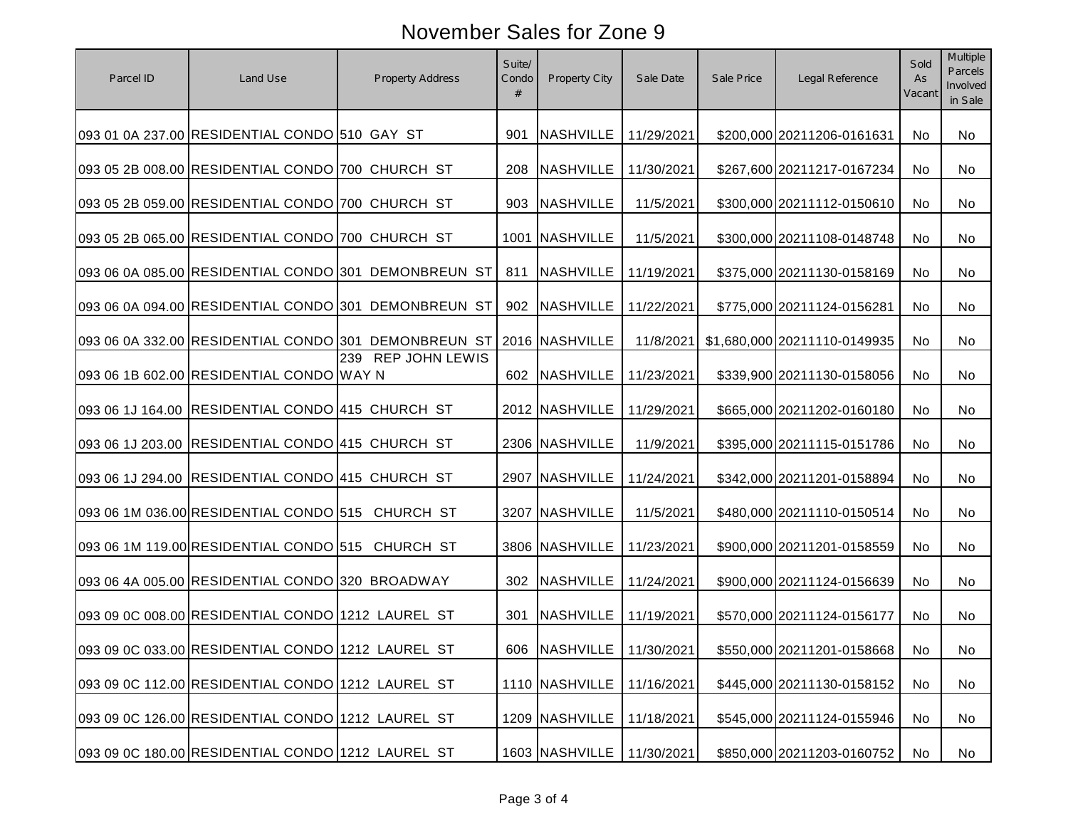| Parcel ID | Land Use                                          | <b>Property Address</b>                              | Suite/<br>Condo | Property City    | Sale Date  | Sale Price | Legal Reference              | Sold<br>As<br>Vacant | Multiple<br>Parcels<br>Involved<br>in Sale |
|-----------|---------------------------------------------------|------------------------------------------------------|-----------------|------------------|------------|------------|------------------------------|----------------------|--------------------------------------------|
|           | 093 01 0A 237.00 RESIDENTIAL CONDO 510 GAY ST     |                                                      | 901             | <b>NASHVILLE</b> | 11/29/2021 |            | \$200,000 20211206-0161631   | No                   | No                                         |
|           | 093 05 2B 008.00 RESIDENTIAL CONDO 700 CHURCH ST  |                                                      | 208             | <b>NASHVILLE</b> | 11/30/2021 |            | \$267,600 20211217-0167234   | No.                  | No                                         |
|           | 093 05 2B 059.00 RESIDENTIAL CONDO 700 CHURCH ST  |                                                      | 903             | NASHVILLE        | 11/5/2021  |            | \$300,000 20211112-0150610   | <b>No</b>            | No                                         |
|           | 093 05 2B 065.00 RESIDENTIAL CONDO 700 CHURCH ST  |                                                      |                 | 1001 NASHVILLE   | 11/5/2021  |            | \$300,000 20211108-0148748   | No.                  | No                                         |
|           |                                                   | 093 06 0A 085.00 RESIDENTIAL CONDO 301 DEMONBREUN ST | 811             | <b>NASHVILLE</b> | 11/19/2021 |            | \$375,000 20211130-0158169   | No.                  | No                                         |
|           |                                                   | 093 06 0A 094.00 RESIDENTIAL CONDO 301 DEMONBREUN ST | 902             | <b>NASHVILLE</b> | 11/22/2021 |            | \$775,000 20211124-0156281   | No.                  | No.                                        |
|           |                                                   | 093 06 0A 332.00 RESIDENTIAL CONDO 301 DEMONBREUN ST |                 | 2016 NASHVILLE   | 11/8/2021  |            | \$1,680,000 20211110-0149935 | <b>No</b>            | No                                         |
|           | 093 06 1B 602.00 RESIDENTIAL CONDO WAY N          | 239 REP JOHN LEWIS                                   | 602             | <b>NASHVILLE</b> | 11/23/2021 |            | \$339,900 20211130-0158056   | No                   | No.                                        |
|           | 093 06 1J 164.00 RESIDENTIAL CONDO 415 CHURCH ST  |                                                      |                 | 2012 NASHVILLE   | 11/29/2021 |            | \$665,000 20211202-0160180   | <b>No</b>            | No.                                        |
|           | 093 06 1J 203.00 RESIDENTIAL CONDO 415 CHURCH ST  |                                                      |                 | 2306 NASHVILLE   | 11/9/2021  |            | \$395,000 20211115-0151786   | No                   | No                                         |
|           | 093 06 1J 294.00 RESIDENTIAL CONDO 415 CHURCH ST  |                                                      |                 | 2907 NASHVILLE   | 11/24/2021 |            | \$342,000 20211201-0158894   | <b>No</b>            | No                                         |
|           | 093 06 1M 036.00 RESIDENTIAL CONDO 515 CHURCH ST  |                                                      |                 | 3207 NASHVILLE   | 11/5/2021  |            | \$480,000 20211110-0150514   | No                   | No                                         |
|           | 093 06 1M 119.00 RESIDENTIAL CONDO 515 CHURCH ST  |                                                      |                 | 3806 NASHVILLE   | 11/23/2021 |            | \$900,000 20211201-0158559   | No.                  | No.                                        |
|           | 093 06 4A 005.00 RESIDENTIAL CONDO 320 BROADWAY   |                                                      | 302             | <b>NASHVILLE</b> | 11/24/2021 |            | \$900,000 20211124-0156639   | No                   | No.                                        |
|           | 093 09 0C 008.00 RESIDENTIAL CONDO 1212 LAUREL ST |                                                      | 301             | <b>NASHVILLE</b> | 11/19/2021 |            | \$570,000 20211124-0156177   | <b>No</b>            | No                                         |
|           | 093 09 0C 033.00 RESIDENTIAL CONDO 1212 LAUREL ST |                                                      |                 | 606 NASHVILLE    | 11/30/2021 |            | \$550,000 20211201-0158668   | No                   | No                                         |
|           | 093 09 0C 112.00 RESIDENTIAL CONDO 1212 LAUREL ST |                                                      |                 | 1110 NASHVILLE   | 11/16/2021 |            | \$445,000 20211130-0158152   | No                   | No                                         |
|           | 093 09 0C 126.00 RESIDENTIAL CONDO 1212 LAUREL ST |                                                      |                 | 1209 NASHVILLE   | 11/18/2021 |            | \$545,000 20211124-0155946   | No                   | No                                         |
|           | 093 09 0C 180.00 RESIDENTIAL CONDO 1212 LAUREL ST |                                                      |                 | 1603 NASHVILLE   | 11/30/2021 |            | \$850,000 20211203-0160752   | No                   | No                                         |